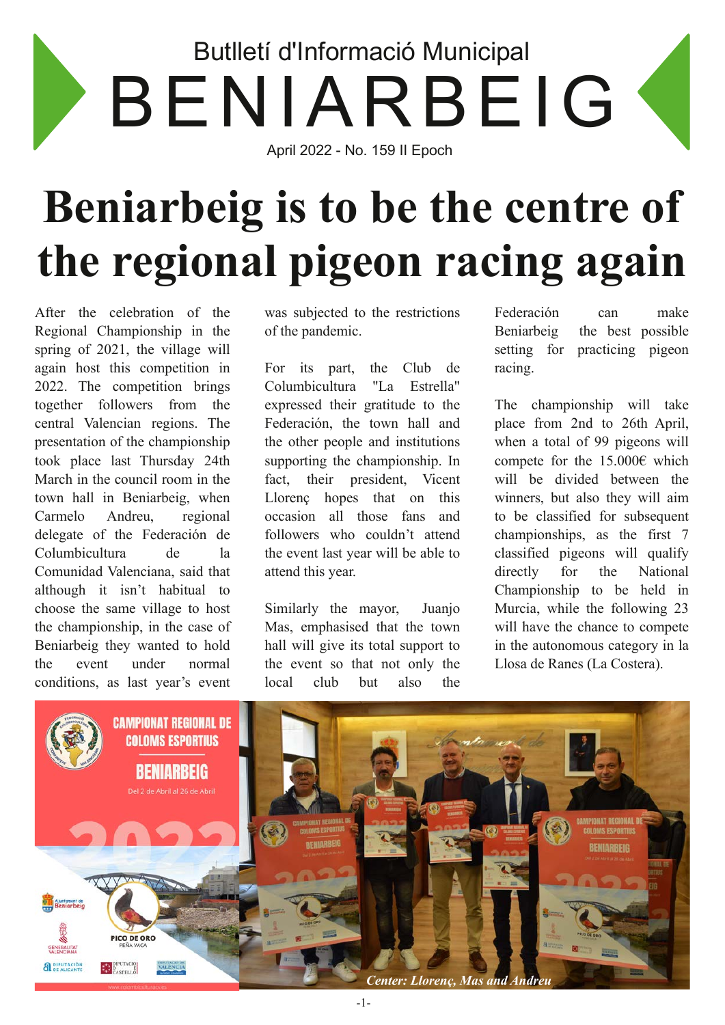## Butlletí d'Informació Municipal BENIARBEIG April 2022 - No. 159 II Epoch

# **Beniarbeig is to be the centre of the regional pigeon racing again**

After the celebration of the Regional Championship in the spring of 2021, the village will again host this competition in 2022. The competition brings together followers from the central Valencian regions. The presentation of the championship took place last Thursday 24th March in the council room in the town hall in Beniarbeig, when Carmelo Andreu, regional delegate of the Federación de Columbicultura de la Comunidad Valenciana, said that although it isn't habitual to choose the same village to host the championship, in the case of Beniarbeig they wanted to hold the event under normal conditions, as last year's event

was subjected to the restrictions of the pandemic.

For its part, the Club de Columbicultura "La Estrella" expressed their gratitude to the Federación, the town hall and the other people and institutions supporting the championship. In fact, their president, Vicent Llorenç hopes that on this occasion all those fans and followers who couldn't attend the event last year will be able to attend this year.

Similarly the mayor, Juanjo Mas, emphasised that the town hall will give its total support to the event so that not only the local club but also the Federación can make Beniarbeig the best possible setting for practicing pigeon racing.

The championship will take place from 2nd to 26th April, when a total of 99 pigeons will compete for the 15.000€ which will be divided between the winners, but also they will aim to be classified for subsequent championships, as the first 7 classified pigeons will qualify directly for the National Championship to be held in Murcia, while the following 23 will have the chance to compete in the autonomous category in la Llosa de Ranes (La Costera).

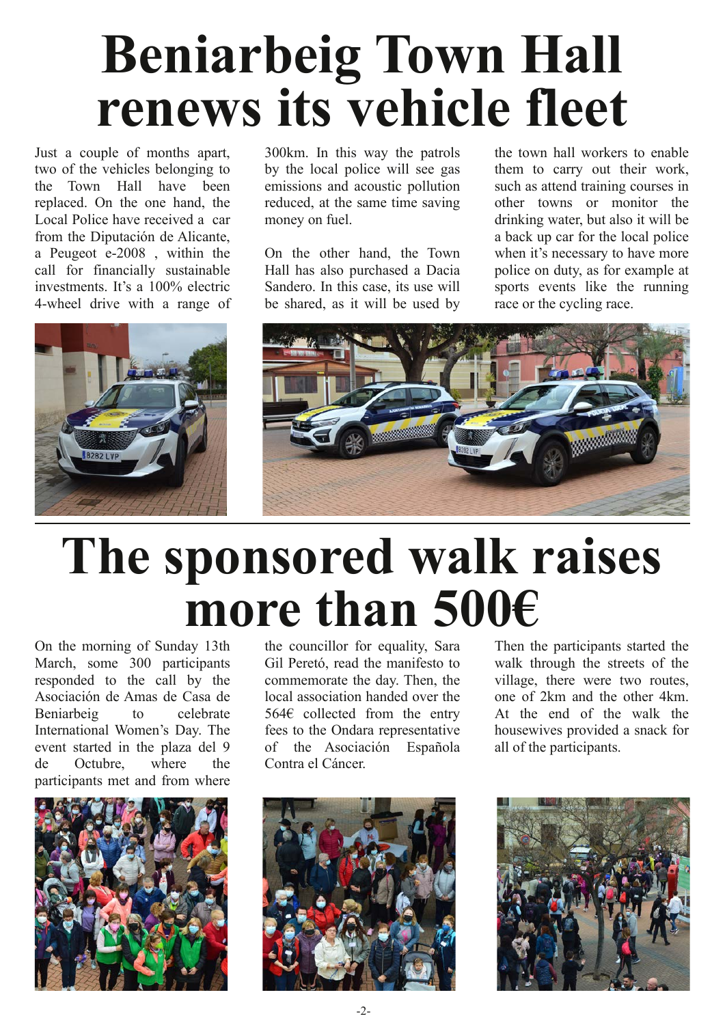# **Beniarbeig Town Hall renews its vehicle fleet**

Just a couple of months apart, two of the vehicles belonging to the Town Hall have been replaced. On the one hand, the Local Police have received a car from the Diputación de Alicante, a Peugeot e-2008, within the call for financially sustainable investments. It's a 100% electric 4wheel drive with a range of



300km. In this way the patrols by the local police will see gas emissions and acoustic pollution reduced, at the same time saving money on fuel.

On the other hand, the Town Hall has also purchased a Dacia Sandero. In this case, its use will be shared, as it will be used by

the town hall workers to enable them to carry out their work, such as attend training courses in other towns or monitor the drinking water, but also it will be a back up car for the local police when it's necessary to have more police on duty, as for example at sports events like the running race or the cycling race.



# **The sponsored walk raises more than 500€**

On the morning of Sunday 13th March, some 300 participants responded to the call by the Asociación de Amas de Casa de Beniarbeig to celebrate International Women's Day. The event started in the plaza del 9 de Octubre, where the participants met and from where



the councillor for equality, Sara Gil Peretó, read the manifesto to commemorate the day. Then, the local association handed over the 564€ collected from the entry fees to the Ondara representative of the Asociación Española Contra el Cáncer.



Then the participants started the walk through the streets of the village, there were two routes, one of 2km and the other 4km. At the end of the walk the housewives provided a snack for all of the participants.

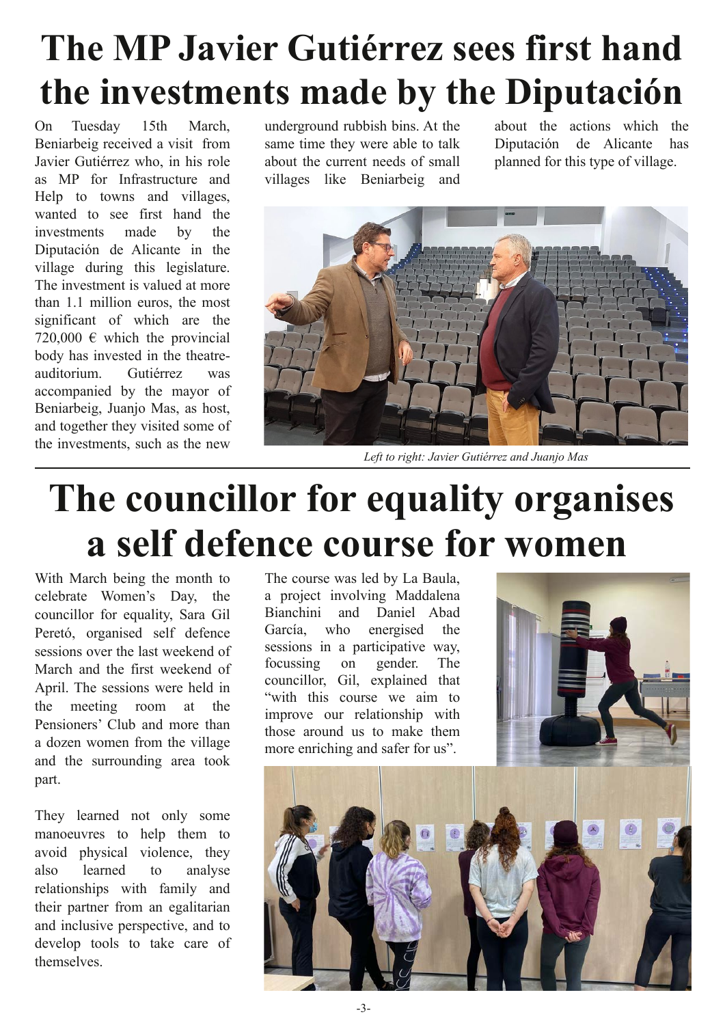## **The MP Javier Gutiérrez sees first hand the investments made by the Diputación**

On Tuesday 15th March, Beniarbeig received a visit from Javier Gutiérrez who, in his role as MP for Infrastructure and Help to towns and villages, wanted to see first hand the investments made by the Diputación de Alicante in the village during this legislature. The investment is valued at more than 1.1 million euros, the most significant of which are the 720,000  $\epsilon$  which the provincial body has invested in the theatreauditorium. Gutiérrez was accompanied by the mayor of Beniarbeig, Juanjo Mas, as host, and together they visited some of the investments, such as the new

underground rubbish bins. At the same time they were able to talk about the current needs of small villages like Beniarbeig and

about the actions which the Diputación de Alicante has planned for this type of village.



*Left to right: Javier Gutiérrez and Juanjo Mas*

## **The councillor for equality organises a self defence course for women**

With March being the month to celebrate Women's Day, the councillor for equality, Sara Gil Peretó, organised self defence sessions over the last weekend of March and the first weekend of April. The sessions were held in the meeting room at the Pensioners' Club and more than a dozen women from the village and the surrounding area took part.

They learned not only some manoeuvres to help them to avoid physical violence, they also learned to analyse relationships with family and their partner from an egalitarian and inclusive perspective, and to develop tools to take care of themselves.

The course was led by La Baula, a project involving Maddalena Bianchini and Daniel Abad García, who energised the sessions in a participative way, focussing on gender. The councillor, Gil, explained that "with this course we aim to improve our relationship with those around us to make them more enriching and safer for us".